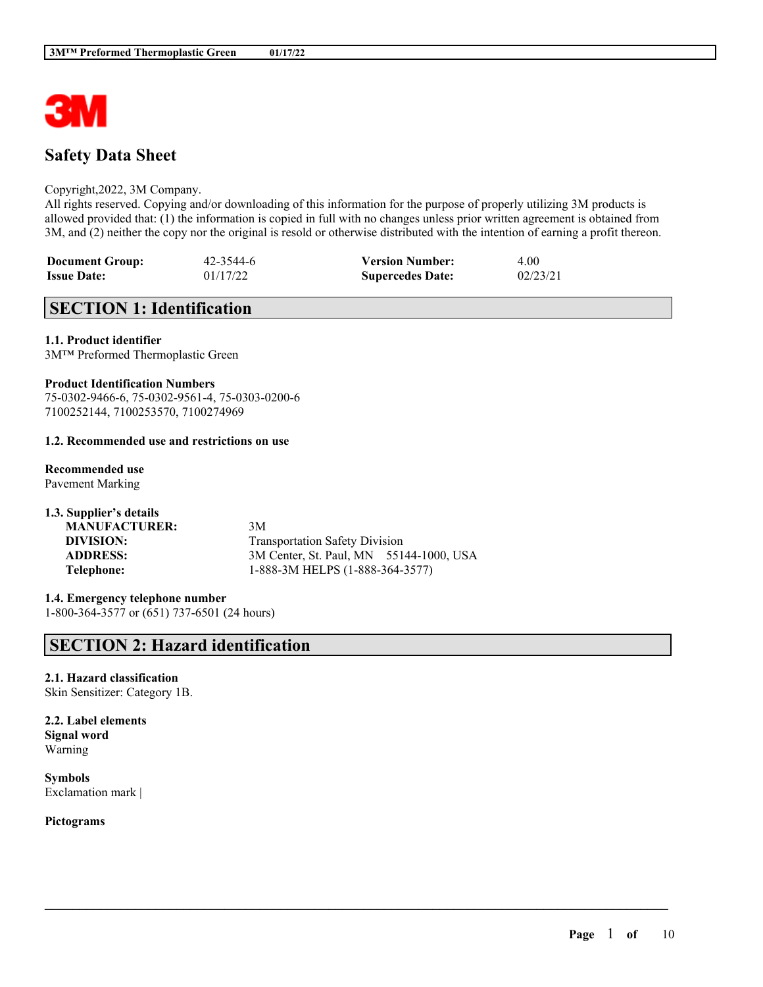

# **Safety Data Sheet**

#### Copyright,2022, 3M Company.

All rights reserved. Copying and/or downloading of this information for the purpose of properly utilizing 3M products is allowed provided that: (1) the information is copied in full with no changes unless prior written agreement is obtained from 3M, and (2) neither the copy nor the original is resold or otherwise distributed with the intention of earning a profit thereon.

 $\mathcal{L}_\mathcal{L} = \mathcal{L}_\mathcal{L} = \mathcal{L}_\mathcal{L} = \mathcal{L}_\mathcal{L} = \mathcal{L}_\mathcal{L} = \mathcal{L}_\mathcal{L} = \mathcal{L}_\mathcal{L} = \mathcal{L}_\mathcal{L} = \mathcal{L}_\mathcal{L} = \mathcal{L}_\mathcal{L} = \mathcal{L}_\mathcal{L} = \mathcal{L}_\mathcal{L} = \mathcal{L}_\mathcal{L} = \mathcal{L}_\mathcal{L} = \mathcal{L}_\mathcal{L} = \mathcal{L}_\mathcal{L} = \mathcal{L}_\mathcal{L}$ 

| <b>Document Group:</b> | 42-3544-6 | <b>Version Number:</b>  | 4.00     |
|------------------------|-----------|-------------------------|----------|
| <b>Issue Date:</b>     | 01/17/22  | <b>Supercedes Date:</b> | 02/23/21 |

# **SECTION 1: Identification**

#### **1.1. Product identifier**

3M™ Preformed Thermoplastic Green

#### **Product Identification Numbers**

75-0302-9466-6, 75-0302-9561-4, 75-0303-0200-6 7100252144, 7100253570, 7100274969

#### **1.2. Recommended use and restrictions on use**

**Recommended use** Pavement Marking

| 3M                                      |
|-----------------------------------------|
| <b>Transportation Safety Division</b>   |
| 3M Center, St. Paul, MN 55144-1000, USA |
| 1-888-3M HELPS (1-888-364-3577)         |
|                                         |

**1.4. Emergency telephone number** 1-800-364-3577 or (651) 737-6501 (24 hours)

## **SECTION 2: Hazard identification**

**2.1. Hazard classification** Skin Sensitizer: Category 1B.

**2.2. Label elements Signal word** Warning

**Symbols** Exclamation mark |

**Pictograms**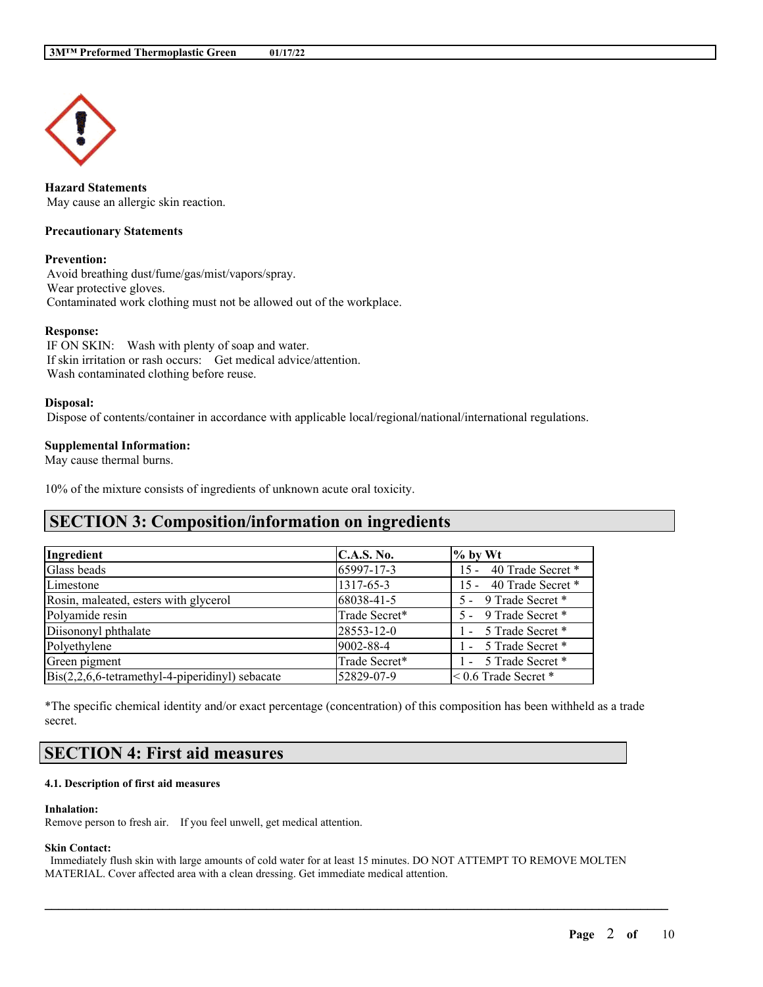

**Hazard Statements** May cause an allergic skin reaction.

#### **Precautionary Statements**

#### **Prevention:**

Avoid breathing dust/fume/gas/mist/vapors/spray. Wear protective gloves. Contaminated work clothing must not be allowed out of the workplace.

#### **Response:**

IF ON SKIN: Wash with plenty of soap and water. If skin irritation or rash occurs: Get medical advice/attention. Wash contaminated clothing before reuse.

#### **Disposal:**

Dispose of contents/container in accordance with applicable local/regional/national/international regulations.

#### **Supplemental Information:**

May cause thermal burns.

10% of the mixture consists of ingredients of unknown acute oral toxicity.

## **SECTION 3: Composition/information on ingredients**

| Ingredient                                                      | C.A.S. No.    | $\%$ by Wt                  |
|-----------------------------------------------------------------|---------------|-----------------------------|
| Glass beads                                                     | 65997-17-3    | 15 - 40 Trade Secret *      |
| Limestone                                                       | 1317-65-3     | 15 - 40 Trade Secret *      |
| Rosin, maleated, esters with glycerol                           | 68038-41-5    | 5 - 9 Trade Secret *        |
| Polyamide resin                                                 | Trade Secret* | 5 - 9 Trade Secret *        |
| Diisononyl phthalate                                            | 28553-12-0    | 1 - 5 Trade Secret *        |
| Polyethylene                                                    | 9002-88-4     | 1 - 5 Trade Secret *        |
| Green pigment                                                   | Trade Secret* | 1 - 5 Trade Secret *        |
| $\text{Bis}(2,2,6,6\text{-tetramethyl-4-piperidinyl})$ sebacate | 52829-07-9    | $\leq 0.6$ Trade Secret $*$ |

\*The specific chemical identity and/or exact percentage (concentration) of this composition has been withheld as a trade secret.

# **SECTION 4: First aid measures**

#### **4.1. Description of first aid measures**

#### **Inhalation:**

Remove person to fresh air. If you feel unwell, get medical attention.

#### **Skin Contact:**

Immediately flush skin with large amounts of cold water for at least 15 minutes. DO NOT ATTEMPT TO REMOVE MOLTEN MATERIAL. Cover affected area with a clean dressing. Get immediate medical attention.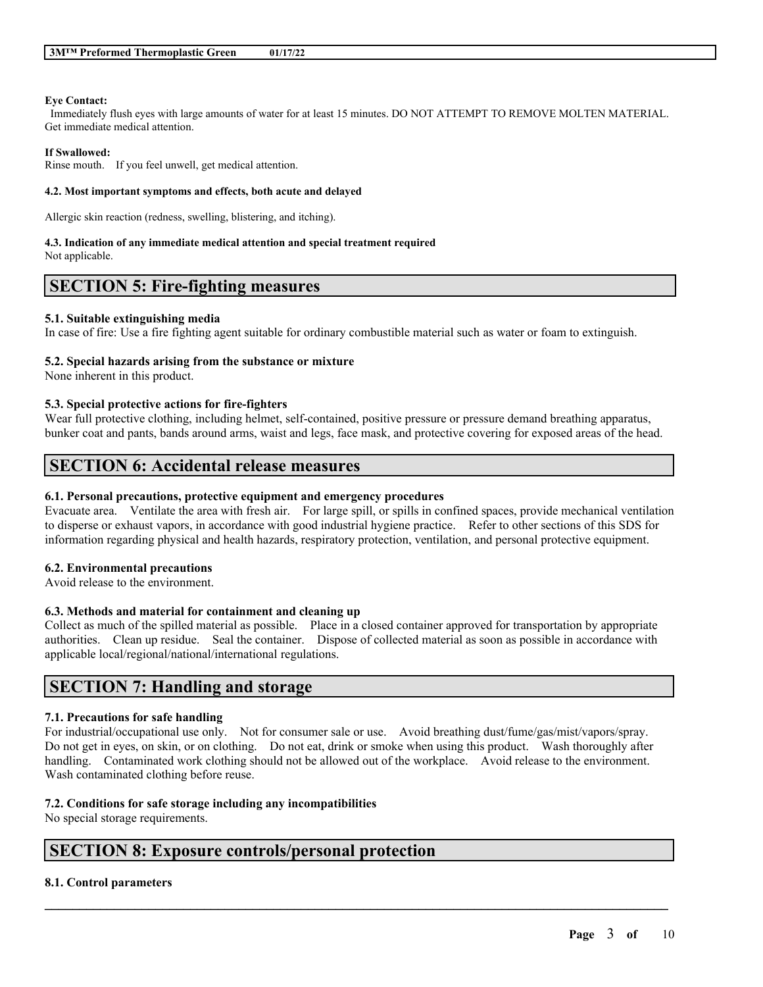#### **Eye Contact:**

Immediately flush eyes with large amounts of water for at least 15 minutes. DO NOT ATTEMPT TO REMOVE MOLTEN MATERIAL. Get immediate medical attention.

#### **If Swallowed:**

Rinse mouth. If you feel unwell, get medical attention.

#### **4.2. Most important symptoms and effects, both acute and delayed**

Allergic skin reaction (redness, swelling, blistering, and itching).

#### **4.3. Indication of any immediate medical attention and special treatment required**

Not applicable.

## **SECTION 5: Fire-fighting measures**

#### **5.1. Suitable extinguishing media**

In case of fire: Use a fire fighting agent suitable for ordinary combustible material such as water or foam to extinguish.

#### **5.2. Special hazards arising from the substance or mixture**

None inherent in this product.

#### **5.3. Special protective actions for fire-fighters**

Wear full protective clothing, including helmet, self-contained, positive pressure or pressure demand breathing apparatus, bunker coat and pants, bands around arms, waist and legs, face mask, and protective covering for exposed areas of the head.

# **SECTION 6: Accidental release measures**

### **6.1. Personal precautions, protective equipment and emergency procedures**

Evacuate area. Ventilate the area with fresh air. For large spill, or spills in confined spaces, provide mechanical ventilation to disperse or exhaust vapors, in accordance with good industrial hygiene practice. Refer to other sections of this SDS for information regarding physical and health hazards, respiratory protection, ventilation, and personal protective equipment.

## **6.2. Environmental precautions**

Avoid release to the environment.

## **6.3. Methods and material for containment and cleaning up**

Collect as much of the spilled material as possible. Place in a closed container approved for transportation by appropriate authorities. Clean up residue. Seal the container. Dispose of collected material as soon as possible in accordance with applicable local/regional/national/international regulations.

## **SECTION 7: Handling and storage**

## **7.1. Precautions for safe handling**

For industrial/occupational use only. Not for consumer sale or use. Avoid breathing dust/fume/gas/mist/vapors/spray. Do not get in eyes, on skin, or on clothing. Do not eat, drink or smoke when using this product. Wash thoroughly after handling. Contaminated work clothing should not be allowed out of the workplace. Avoid release to the environment. Wash contaminated clothing before reuse.

 $\mathcal{L}_\mathcal{L} = \mathcal{L}_\mathcal{L} = \mathcal{L}_\mathcal{L} = \mathcal{L}_\mathcal{L} = \mathcal{L}_\mathcal{L} = \mathcal{L}_\mathcal{L} = \mathcal{L}_\mathcal{L} = \mathcal{L}_\mathcal{L} = \mathcal{L}_\mathcal{L} = \mathcal{L}_\mathcal{L} = \mathcal{L}_\mathcal{L} = \mathcal{L}_\mathcal{L} = \mathcal{L}_\mathcal{L} = \mathcal{L}_\mathcal{L} = \mathcal{L}_\mathcal{L} = \mathcal{L}_\mathcal{L} = \mathcal{L}_\mathcal{L}$ 

## **7.2. Conditions for safe storage including any incompatibilities**

No special storage requirements.

## **SECTION 8: Exposure controls/personal protection**

## **8.1. Control parameters**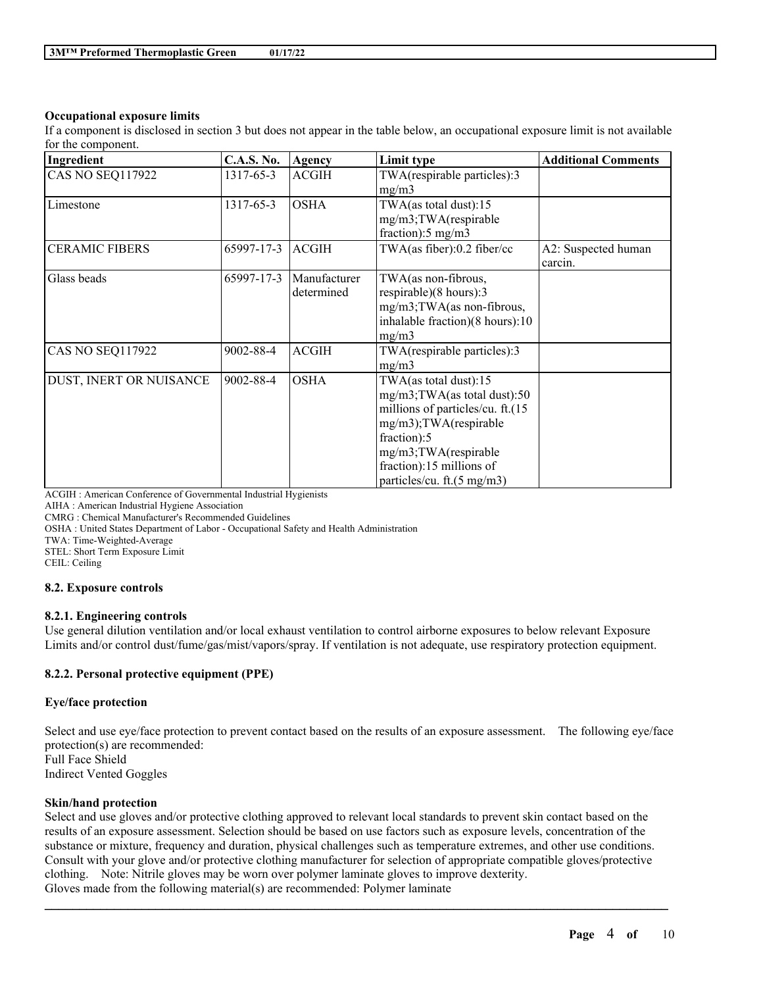## **Occupational exposure limits**

If a component is disclosed in section 3 but does not appear in the table below, an occupational exposure limit is not available for the component.

| Ingredient              | <b>C.A.S. No.</b> | Agency                     | Limit type                                                                                                                                                                                                            | <b>Additional Comments</b>     |
|-------------------------|-------------------|----------------------------|-----------------------------------------------------------------------------------------------------------------------------------------------------------------------------------------------------------------------|--------------------------------|
| CAS NO SEQ117922        | 1317-65-3         | <b>ACGIH</b>               | TWA(respirable particles):3<br>mg/m3                                                                                                                                                                                  |                                |
| Limestone               | 1317-65-3         | <b>OSHA</b>                | TWA(as total dust):15<br>mg/m3;TWA(respirable<br>fraction):5 mg/m3                                                                                                                                                    |                                |
| <b>CERAMIC FIBERS</b>   | 65997-17-3        | <b>ACGIH</b>               | TWA(as fiber):0.2 fiber/cc                                                                                                                                                                                            | A2: Suspected human<br>carcin. |
| Glass beads             | 65997-17-3        | Manufacturer<br>determined | TWA(as non-fibrous,<br>respirable)(8 hours):3<br>mg/m3;TWA(as non-fibrous,<br>inhalable fraction)(8 hours):10<br>mg/m3                                                                                                |                                |
| CAS NO SEQ117922        | 9002-88-4         | <b>ACGIH</b>               | TWA(respirable particles):3<br>mg/m3                                                                                                                                                                                  |                                |
| DUST, INERT OR NUISANCE | 9002-88-4         | <b>OSHA</b>                | $TWA$ (as total dust):15<br>mg/m3;TWA(as total dust):50<br>millions of particles/cu. ft.(15<br>mg/m3);TWA(respirable<br>fraction):5<br>mg/m3;TWA(respirable<br>fraction):15 millions of<br>particles/cu. ft.(5 mg/m3) |                                |

ACGIH : American Conference of Governmental Industrial Hygienists

AIHA : American Industrial Hygiene Association

CMRG : Chemical Manufacturer's Recommended Guidelines

OSHA : United States Department of Labor - Occupational Safety and Health Administration

TWA: Time-Weighted-Average

STEL: Short Term Exposure Limit

CEIL: Ceiling

## **8.2. Exposure controls**

## **8.2.1. Engineering controls**

Use general dilution ventilation and/or local exhaust ventilation to control airborne exposures to below relevant Exposure Limits and/or control dust/fume/gas/mist/vapors/spray. If ventilation is not adequate, use respiratory protection equipment.

## **8.2.2. Personal protective equipment (PPE)**

## **Eye/face protection**

Select and use eye/face protection to prevent contact based on the results of an exposure assessment. The following eye/face protection(s) are recommended: Full Face Shield Indirect Vented Goggles

## **Skin/hand protection**

Select and use gloves and/or protective clothing approved to relevant local standards to prevent skin contact based on the results of an exposure assessment. Selection should be based on use factors such as exposure levels, concentration of the substance or mixture, frequency and duration, physical challenges such as temperature extremes, and other use conditions. Consult with your glove and/or protective clothing manufacturer for selection of appropriate compatible gloves/protective clothing. Note: Nitrile gloves may be worn over polymer laminate gloves to improve dexterity. Gloves made from the following material(s) are recommended: Polymer laminate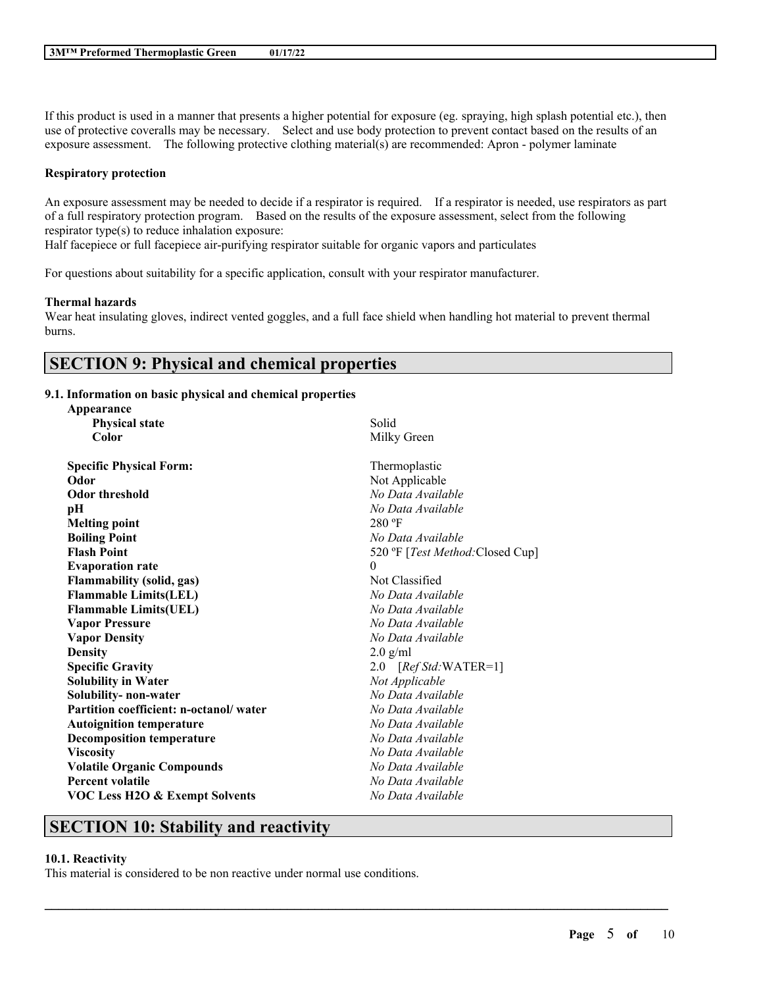If this product is used in a manner that presents a higher potential for exposure (eg. spraying, high splash potential etc.), then use of protective coveralls may be necessary. Select and use body protection to prevent contact based on the results of an exposure assessment. The following protective clothing material(s) are recommended: Apron - polymer laminate

#### **Respiratory protection**

An exposure assessment may be needed to decide if a respirator is required. If a respirator is needed, use respirators as part of a full respiratory protection program. Based on the results of the exposure assessment, select from the following respirator type(s) to reduce inhalation exposure:

Half facepiece or full facepiece air-purifying respirator suitable for organic vapors and particulates

For questions about suitability for a specific application, consult with your respirator manufacturer.

#### **Thermal hazards**

**Appearance**

Wear heat insulating gloves, indirect vented goggles, and a full face shield when handling hot material to prevent thermal burns.

## **SECTION 9: Physical and chemical properties**

## **9.1. Information on basic physical and chemical properties**

| дрреатансе                                |                                  |
|-------------------------------------------|----------------------------------|
| <b>Physical state</b>                     | Solid                            |
| Color                                     | Milky Green                      |
| <b>Specific Physical Form:</b>            | Thermoplastic                    |
| Odor                                      | Not Applicable                   |
| <b>Odor threshold</b>                     | No Data Available                |
| рH                                        | No Data Available                |
| <b>Melting point</b>                      | $280 \text{°F}$                  |
| <b>Boiling Point</b>                      | No Data Available                |
| <b>Flash Point</b>                        | 520 °F [Test Method: Closed Cup] |
| <b>Evaporation rate</b>                   | $\theta$                         |
| <b>Flammability (solid, gas)</b>          | Not Classified                   |
| <b>Flammable Limits(LEL)</b>              | No Data Available                |
| <b>Flammable Limits(UEL)</b>              | No Data Available                |
| <b>Vapor Pressure</b>                     | No Data Available                |
| <b>Vapor Density</b>                      | No Data Available                |
| <b>Density</b>                            | $2.0$ g/ml                       |
| <b>Specific Gravity</b>                   | 2.0 [Ref Std: WATER=1]           |
| <b>Solubility in Water</b>                | Not Applicable                   |
| Solubility- non-water                     | No Data Available                |
| Partition coefficient: n-octanol/water    | No Data Available                |
| <b>Autoignition temperature</b>           | No Data Available                |
| <b>Decomposition temperature</b>          | No Data Available                |
| <b>Viscosity</b>                          | No Data Available                |
| <b>Volatile Organic Compounds</b>         | No Data Available                |
| <b>Percent volatile</b>                   | No Data Available                |
| <b>VOC Less H2O &amp; Exempt Solvents</b> | No Data Available                |
|                                           |                                  |

 $\mathcal{L}_\mathcal{L} = \mathcal{L}_\mathcal{L} = \mathcal{L}_\mathcal{L} = \mathcal{L}_\mathcal{L} = \mathcal{L}_\mathcal{L} = \mathcal{L}_\mathcal{L} = \mathcal{L}_\mathcal{L} = \mathcal{L}_\mathcal{L} = \mathcal{L}_\mathcal{L} = \mathcal{L}_\mathcal{L} = \mathcal{L}_\mathcal{L} = \mathcal{L}_\mathcal{L} = \mathcal{L}_\mathcal{L} = \mathcal{L}_\mathcal{L} = \mathcal{L}_\mathcal{L} = \mathcal{L}_\mathcal{L} = \mathcal{L}_\mathcal{L}$ 

## **SECTION 10: Stability and reactivity**

## **10.1. Reactivity**

This material is considered to be non reactive under normal use conditions.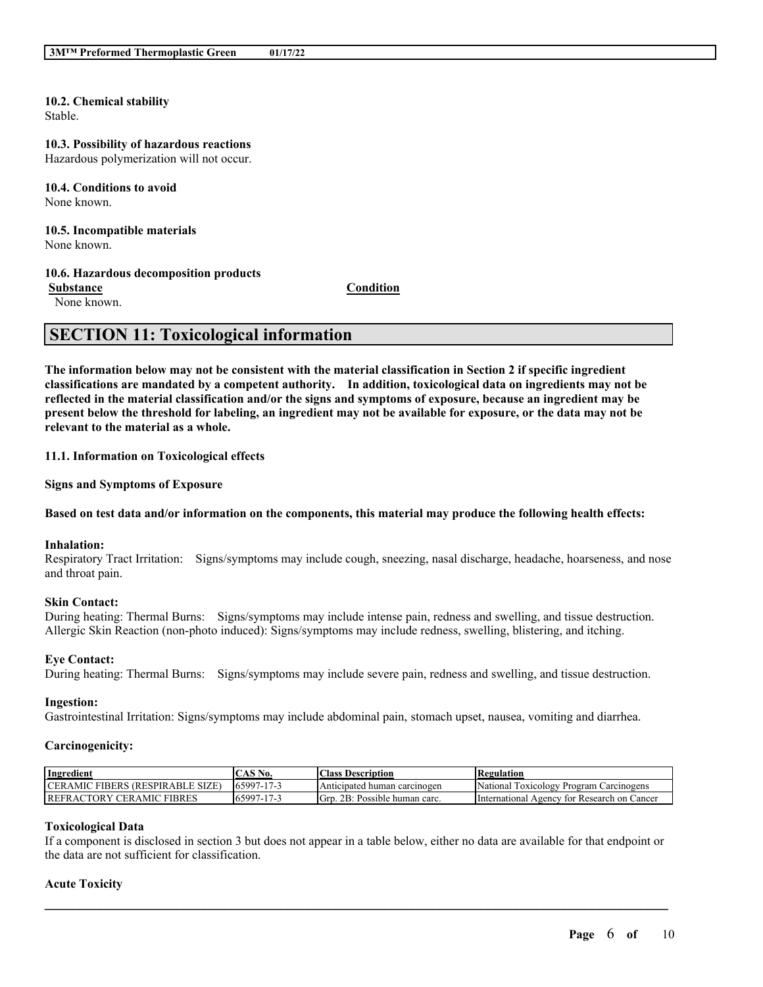**10.2. Chemical stability** Stable.

#### **10.3. Possibility of hazardous reactions** Hazardous polymerization will not occur.

**10.4. Conditions to avoid** None known.

**10.5. Incompatible materials** None known.

#### **10.6. Hazardous decomposition products**

None known.

**Substance Condition**

## **SECTION 11: Toxicological information**

The information below may not be consistent with the material classification in Section 2 if specific ingredient **classifications are mandated by a competent authority. In addition, toxicological data on ingredients may not be** reflected in the material classification and/or the signs and symptoms of exposure, because an ingredient may be present below the threshold for labeling, an ingredient may not be available for exposure, or the data may not be **relevant to the material as a whole.**

**11.1. Information on Toxicological effects**

**Signs and Symptoms of Exposure**

#### Based on test data and/or information on the components, this material may produce the following health effects:

#### **Inhalation:**

Respiratory Tract Irritation: Signs/symptoms may include cough, sneezing, nasal discharge, headache, hoarseness, and nose and throat pain.

#### **Skin Contact:**

During heating: Thermal Burns: Signs/symptoms may include intense pain, redness and swelling, and tissue destruction. Allergic Skin Reaction (non-photo induced): Signs/symptoms may include redness, swelling, blistering, and itching.

#### **Eye Contact:**

During heating: Thermal Burns: Signs/symptoms may include severe pain, redness and swelling, and tissue destruction.

#### **Ingestion:**

Gastrointestinal Irritation: Signs/symptoms may include abdominal pain, stomach upset, nausea, vomiting and diarrhea.

#### **Carcinogenicity:**

| Ingredient                                                    | $\triangle$ AS N<br>No.                 | <b>Class Description</b>              | <b>Regulation</b>                                    |
|---------------------------------------------------------------|-----------------------------------------|---------------------------------------|------------------------------------------------------|
| <b>CERAMIC</b><br>' FIBERS (RESPIRABLE SIZE)                  | $165997-17$                             | Anticipated<br>i carcinogen<br>human  | <b>LOXICOLOGY</b><br>National<br>Program Carcinogens |
| CER AMIC<br><b>FIBRES</b><br>$\Upsilon$ TORY<br><b>REFRAC</b> | 165997<br>17 <sup>7</sup><br>$\prime$ - | 2B:<br>Grp.<br>: Possible human carc. | International<br>r Research on Cancer<br>Agency for  |

#### **Toxicological Data**

If a component is disclosed in section 3 but does not appear in a table below, either no data are available for that endpoint or the data are not sufficient for classification.

 $\mathcal{L}_\mathcal{L} = \mathcal{L}_\mathcal{L} = \mathcal{L}_\mathcal{L} = \mathcal{L}_\mathcal{L} = \mathcal{L}_\mathcal{L} = \mathcal{L}_\mathcal{L} = \mathcal{L}_\mathcal{L} = \mathcal{L}_\mathcal{L} = \mathcal{L}_\mathcal{L} = \mathcal{L}_\mathcal{L} = \mathcal{L}_\mathcal{L} = \mathcal{L}_\mathcal{L} = \mathcal{L}_\mathcal{L} = \mathcal{L}_\mathcal{L} = \mathcal{L}_\mathcal{L} = \mathcal{L}_\mathcal{L} = \mathcal{L}_\mathcal{L}$ 

#### **Acute Toxicity**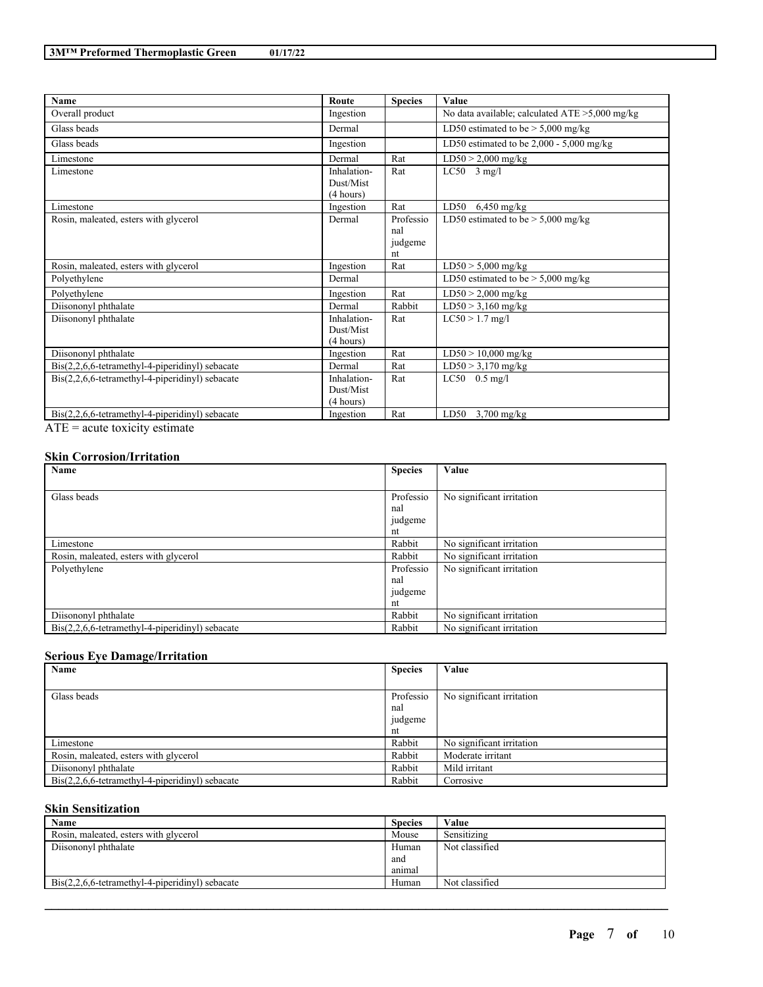| <b>Name</b>                                                     | Route                                 | <b>Species</b>                    | Value                                             |
|-----------------------------------------------------------------|---------------------------------------|-----------------------------------|---------------------------------------------------|
| Overall product                                                 | Ingestion                             |                                   | No data available; calculated $ATE > 5,000$ mg/kg |
| Glass beads                                                     | Dermal                                |                                   | LD50 estimated to be $> 5,000$ mg/kg              |
| Glass beads                                                     | Ingestion                             |                                   | LD50 estimated to be $2,000 - 5,000$ mg/kg        |
| Limestone                                                       | Dermal                                | Rat                               | $LD50 > 2,000$ mg/kg                              |
| Limestone                                                       | Inhalation-<br>Dust/Mist<br>(4 hours) | Rat                               | $LC50$ 3 mg/l                                     |
| Limestone                                                       | Ingestion                             | Rat                               | LD50<br>$6,450$ mg/kg                             |
| Rosin, maleated, esters with glycerol                           | Dermal                                | Professio<br>nal<br>judgeme<br>nt | LD50 estimated to be $> 5,000$ mg/kg              |
| Rosin, maleated, esters with glycerol                           | Ingestion                             | Rat                               | $LD50 > 5,000$ mg/kg                              |
| Polyethylene                                                    | Dermal                                |                                   | LD50 estimated to be $> 5,000$ mg/kg              |
| Polyethylene                                                    | Ingestion                             | Rat                               | $LD50 > 2,000$ mg/kg                              |
| Diisononyl phthalate                                            | Dermal                                | Rabbit                            | $LD50 > 3,160$ mg/kg                              |
| Diisononyl phthalate                                            | Inhalation-<br>Dust/Mist<br>(4 hours) | Rat                               | $LC50 > 1.7$ mg/l                                 |
| Diisononyl phthalate                                            | Ingestion                             | Rat                               | $LD50 > 10,000$ mg/kg                             |
| $Dis(2,2,6,6-tetramethyl-4-piperidinyl)$ sebacate               | Dermal                                | Rat                               | $LD50 > 3,170$ mg/kg                              |
| $Dis(2,2,6,6-tetramethyl-4-piperidinyl)$ sebacate               | Inhalation-<br>Dust/Mist<br>(4 hours) | Rat                               | $LC50$ 0.5 mg/l                                   |
| $\text{Bis}(2,2,6,6\text{-tetramethyl-4-piperidiny!)}$ sebacate | Ingestion                             | Rat                               | LD50<br>$3,700$ mg/kg                             |

ATE = acute toxicity estimate

## **Skin Corrosion/Irritation**

| Name                                                            | <b>Species</b> | Value                     |
|-----------------------------------------------------------------|----------------|---------------------------|
|                                                                 |                |                           |
| Glass beads                                                     | Professio      | No significant irritation |
|                                                                 | nal            |                           |
|                                                                 | judgeme        |                           |
|                                                                 | nt             |                           |
| Limestone                                                       | Rabbit         | No significant irritation |
| Rosin, maleated, esters with glycerol                           | Rabbit         | No significant irritation |
| Polyethylene                                                    | Professio      | No significant irritation |
|                                                                 | nal            |                           |
|                                                                 | judgeme        |                           |
|                                                                 | nt             |                           |
| Diisononyl phthalate                                            | Rabbit         | No significant irritation |
| $\text{Bis}(2,2,6,6\text{-tetramethyl-4-piperidinyl})$ sebacate | Rabbit         | No significant irritation |

## **Serious Eye Damage/Irritation**

| Name                                                            | <b>Species</b> | Value                     |
|-----------------------------------------------------------------|----------------|---------------------------|
|                                                                 |                |                           |
| Glass beads                                                     | Professio      | No significant irritation |
|                                                                 | nal            |                           |
|                                                                 | judgeme        |                           |
|                                                                 | nt             |                           |
| Limestone                                                       | Rabbit         | No significant irritation |
| Rosin, maleated, esters with glycerol                           | Rabbit         | Moderate irritant         |
| Diisononyl phthalate                                            | Rabbit         | Mild irritant             |
| $\text{Bis}(2,2,6,6\text{-tetramethyl-4-piperidinyl})$ sebacate | Rabbit         | Corrosive                 |

## **Skin Sensitization**

| Name                                              | <b>Species</b> | Value          |
|---------------------------------------------------|----------------|----------------|
| Rosin, maleated, esters with glycerol             | Mouse          | Sensitizing    |
| Diisononyl phthalate                              | Human          | Not classified |
|                                                   | and            |                |
|                                                   | animal         |                |
| $Dis(2,2,6,6-tetramethyl-4-piperidinyl)$ sebacate | Human          | Not classified |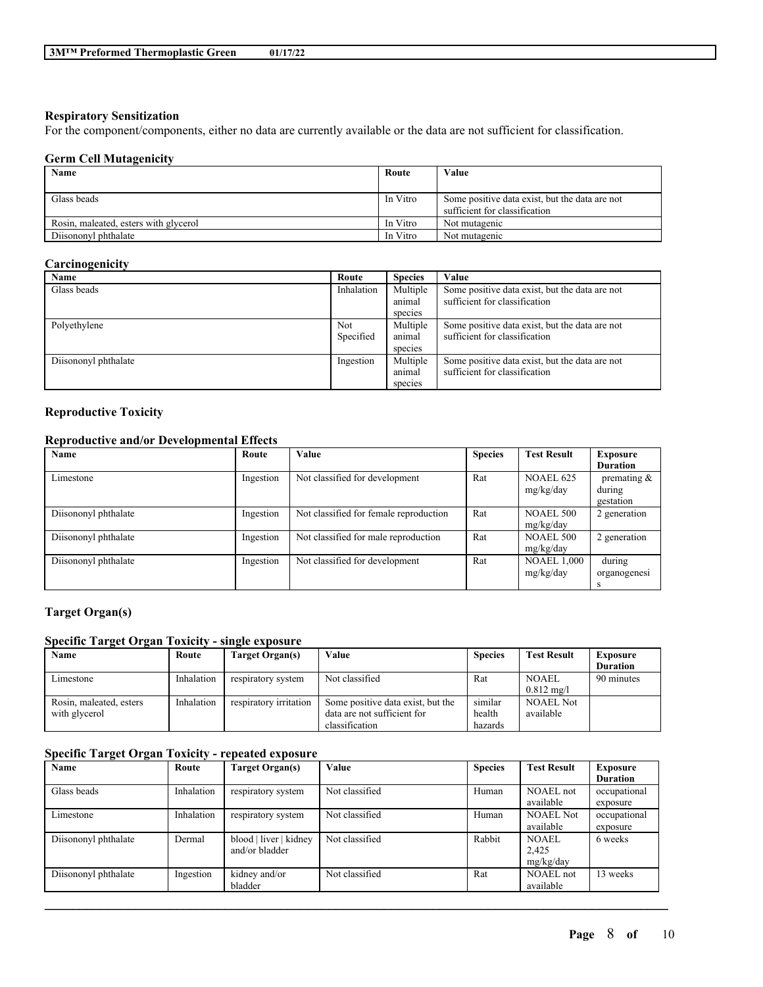#### **Respiratory Sensitization**

For the component/components, either no data are currently available or the data are not sufficient for classification.

### **Germ Cell Mutagenicity**

| Name                                  | Route    | Value                                                                           |
|---------------------------------------|----------|---------------------------------------------------------------------------------|
| Glass beads                           | In Vitro | Some positive data exist, but the data are not<br>sufficient for classification |
| Rosin, maleated, esters with glycerol | In Vitro | Not mutagenic                                                                   |
| Diisononyl phthalate                  | In Vitro | Not mutagenic                                                                   |

#### **Carcinogenicity**

| Name                 | Route      | <b>Species</b>     | Value                                                                           |
|----------------------|------------|--------------------|---------------------------------------------------------------------------------|
| Glass beads          | Inhalation | Multiple<br>animal | Some positive data exist, but the data are not<br>sufficient for classification |
|                      |            | species            |                                                                                 |
| Polyethylene         | <b>Not</b> | Multiple           | Some positive data exist, but the data are not                                  |
|                      | Specified  | animal             | sufficient for classification                                                   |
|                      |            | species            |                                                                                 |
| Diisononyl phthalate | Ingestion  | Multiple           | Some positive data exist, but the data are not                                  |
|                      |            | animal             | sufficient for classification                                                   |
|                      |            | species            |                                                                                 |

## **Reproductive Toxicity**

## **Reproductive and/or Developmental Effects**

| Name                 | Route     | <b>Value</b>                           | <b>Species</b> | <b>Test Result</b> | Exposure        |
|----------------------|-----------|----------------------------------------|----------------|--------------------|-----------------|
|                      |           |                                        |                |                    | <b>Duration</b> |
| Limestone            | Ingestion | Not classified for development         | Rat            | <b>NOAEL 625</b>   | premating $\&$  |
|                      |           |                                        |                | mg/kg/day          | during          |
|                      |           |                                        |                |                    | gestation       |
| Diisononyl phthalate | Ingestion | Not classified for female reproduction | Rat            | <b>NOAEL 500</b>   | 2 generation    |
|                      |           |                                        |                | mg/kg/day          |                 |
| Diisononyl phthalate | Ingestion | Not classified for male reproduction   | Rat            | <b>NOAEL 500</b>   | 2 generation    |
|                      |           |                                        |                | mg/kg/day          |                 |
| Diisononyl phthalate | Ingestion | Not classified for development         | Rat            | <b>NOAEL 1,000</b> | during          |
|                      |           |                                        |                | mg/kg/day          | organogenesi    |
|                      |           |                                        |                |                    |                 |

## **Target Organ(s)**

## **Specific Target Organ Toxicity - single exposure**

| Name                    | Route      | Target Organ(s)        | Value                             | <b>Species</b> | <b>Test Result</b>    | <b>Exposure</b> |
|-------------------------|------------|------------------------|-----------------------------------|----------------|-----------------------|-----------------|
|                         |            |                        |                                   |                |                       | <b>Duration</b> |
| Limestone               | Inhalation | respiratory system     | Not classified                    | Rat            | <b>NOAEL</b>          | 90 minutes      |
|                         |            |                        |                                   |                | $0.812 \text{ mg}$ /l |                 |
| Rosin, maleated, esters | Inhalation | respiratory irritation | Some positive data exist, but the | similar        | <b>NOAEL Not</b>      |                 |
| with glycerol           |            |                        | data are not sufficient for       | health         | available             |                 |
|                         |            |                        | classification                    | hazards        |                       |                 |

## **Specific Target Organ Toxicity - repeated exposure**

| Name                 | Route      | Target Organ(s)        | Value          | <b>Species</b> | <b>Test Result</b> | Exposure        |
|----------------------|------------|------------------------|----------------|----------------|--------------------|-----------------|
|                      |            |                        |                |                |                    | <b>Duration</b> |
| Glass beads          | Inhalation | respiratory system     | Not classified | Human          | NOAEL not          | occupational    |
|                      |            |                        |                |                | available          | exposure        |
| Limestone            | Inhalation | respiratory system     | Not classified | Human          | <b>NOAEL Not</b>   | occupational    |
|                      |            |                        |                |                | available          | exposure        |
| Diisononyl phthalate | Dermal     | blood   liver   kidney | Not classified | Rabbit         | <b>NOAEL</b>       | 6 weeks         |
|                      |            | and/or bladder         |                |                | 2.425              |                 |
|                      |            |                        |                |                | mg/kg/day          |                 |
| Diisononyl phthalate | Ingestion  | kidney and/or          | Not classified | Rat            | <b>NOAEL</b> not   | 13 weeks        |
|                      |            | bladder                |                |                | available          |                 |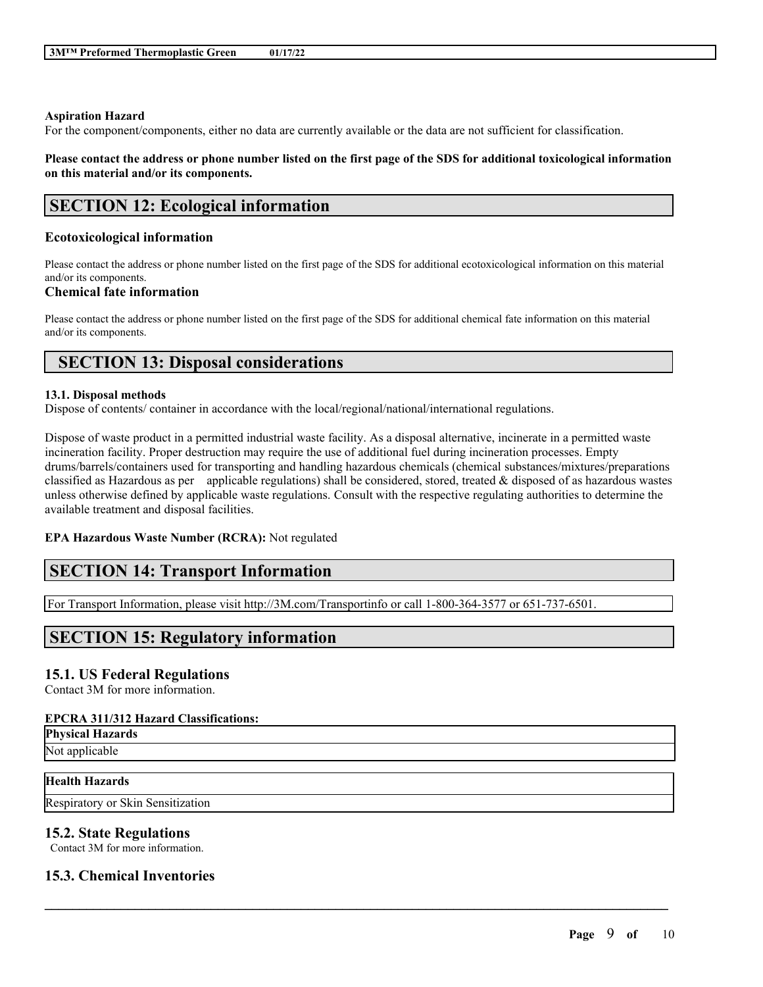#### **Aspiration Hazard**

For the component/components, either no data are currently available or the data are not sufficient for classification.

Please contact the address or phone number listed on the first page of the SDS for additional toxicological information **on this material and/or its components.**

## **SECTION 12: Ecological information**

## **Ecotoxicological information**

Please contact the address or phone number listed on the first page of the SDS for additional ecotoxicological information on this material and/or its components.

## **Chemical fate information**

Please contact the address or phone number listed on the first page of the SDS for additional chemical fate information on this material and/or its components.

# **SECTION 13: Disposal considerations**

#### **13.1. Disposal methods**

Dispose of contents/ container in accordance with the local/regional/national/international regulations.

Dispose of waste product in a permitted industrial waste facility. As a disposal alternative, incinerate in a permitted waste incineration facility. Proper destruction may require the use of additional fuel during incineration processes. Empty drums/barrels/containers used for transporting and handling hazardous chemicals (chemical substances/mixtures/preparations classified as Hazardous as per applicable regulations) shall be considered, stored, treated  $\&$  disposed of as hazardous wastes unless otherwise defined by applicable waste regulations. Consult with the respective regulating authorities to determine the available treatment and disposal facilities.

 $\mathcal{L}_\mathcal{L} = \mathcal{L}_\mathcal{L} = \mathcal{L}_\mathcal{L} = \mathcal{L}_\mathcal{L} = \mathcal{L}_\mathcal{L} = \mathcal{L}_\mathcal{L} = \mathcal{L}_\mathcal{L} = \mathcal{L}_\mathcal{L} = \mathcal{L}_\mathcal{L} = \mathcal{L}_\mathcal{L} = \mathcal{L}_\mathcal{L} = \mathcal{L}_\mathcal{L} = \mathcal{L}_\mathcal{L} = \mathcal{L}_\mathcal{L} = \mathcal{L}_\mathcal{L} = \mathcal{L}_\mathcal{L} = \mathcal{L}_\mathcal{L}$ 

## **EPA Hazardous Waste Number (RCRA):** Not regulated

# **SECTION 14: Transport Information**

For Transport Information, please visit http://3M.com/Transportinfo or call 1-800-364-3577 or 651-737-6501.

## **SECTION 15: Regulatory information**

## **15.1. US Federal Regulations**

Contact 3M for more information.

## **EPCRA 311/312 Hazard Classifications:**

**Physical Hazards**

Not applicable

## **Health Hazards**

Respiratory or Skin Sensitization

## **15.2. State Regulations**

Contact 3M for more information.

## **15.3. Chemical Inventories**